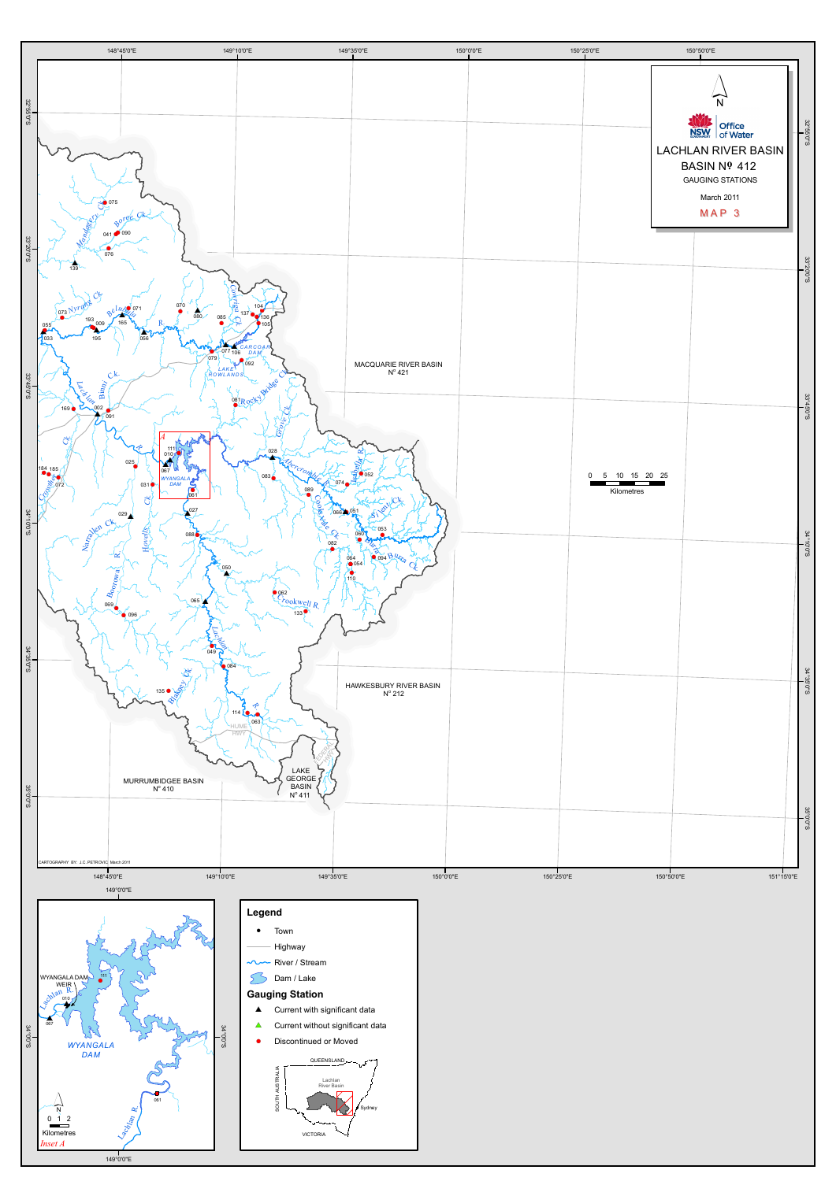

- 
- 
- 

- 
- 
-